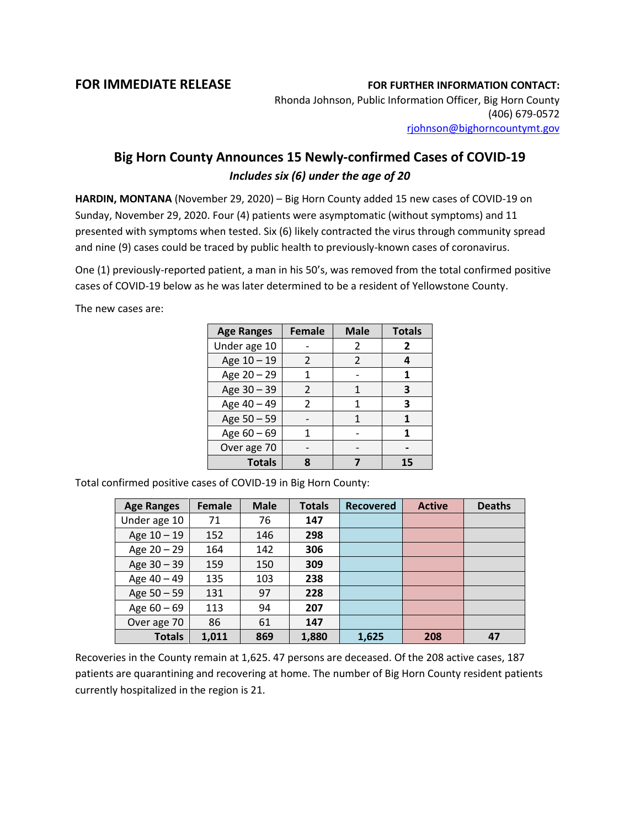## **FOR IMMEDIATE RELEASE FOR FURTHER INFORMATION CONTACT:**

Rhonda Johnson, Public Information Officer, Big Horn County (406) 679-0572 [rjohnson@bighorncountymt.gov](mailto:rjohnson@bighorncountymt.gov)

## **Big Horn County Announces 15 Newly-confirmed Cases of COVID-19** *Includes six (6) under the age of 20*

**HARDIN, MONTANA** (November 29, 2020) – Big Horn County added 15 new cases of COVID-19 on Sunday, November 29, 2020. Four (4) patients were asymptomatic (without symptoms) and 11 presented with symptoms when tested. Six (6) likely contracted the virus through community spread and nine (9) cases could be traced by public health to previously-known cases of coronavirus.

One (1) previously-reported patient, a man in his 50's, was removed from the total confirmed positive cases of COVID-19 below as he was later determined to be a resident of Yellowstone County.

The new cases are:

| <b>Age Ranges</b> | <b>Female</b>  | <b>Male</b>   | <b>Totals</b>  |
|-------------------|----------------|---------------|----------------|
| Under age 10      |                | 2             | $\overline{2}$ |
| Age 10 - 19       | 2              | $\mathcal{P}$ | 4              |
| Age 20 - 29       | 1              |               | 1              |
| Age 30 - 39       | $\mathcal{P}$  |               | 3              |
| Age 40 - 49       | $\mathfrak{p}$ | 1             | 3              |
| Age 50 - 59       |                |               |                |
| Age $60 - 69$     | 1              |               | 1              |
| Over age 70       |                |               |                |
| <b>Totals</b>     |                |               | 15             |

Total confirmed positive cases of COVID-19 in Big Horn County:

| <b>Age Ranges</b> | <b>Female</b> | <b>Male</b> | <b>Totals</b> | <b>Recovered</b> | <b>Active</b> | <b>Deaths</b> |
|-------------------|---------------|-------------|---------------|------------------|---------------|---------------|
| Under age 10      | 71            | 76          | 147           |                  |               |               |
| Age 10 - 19       | 152           | 146         | 298           |                  |               |               |
| Age $20 - 29$     | 164           | 142         | 306           |                  |               |               |
| Age $30 - 39$     | 159           | 150         | 309           |                  |               |               |
| Age 40 - 49       | 135           | 103         | 238           |                  |               |               |
| Age 50 - 59       | 131           | 97          | 228           |                  |               |               |
| Age $60 - 69$     | 113           | 94          | 207           |                  |               |               |
| Over age 70       | 86            | 61          | 147           |                  |               |               |
| <b>Totals</b>     | 1.011         | 869         | 1,880         | 1,625            | 208           | 47            |

Recoveries in the County remain at 1,625. 47 persons are deceased. Of the 208 active cases, 187 patients are quarantining and recovering at home. The number of Big Horn County resident patients currently hospitalized in the region is 21.